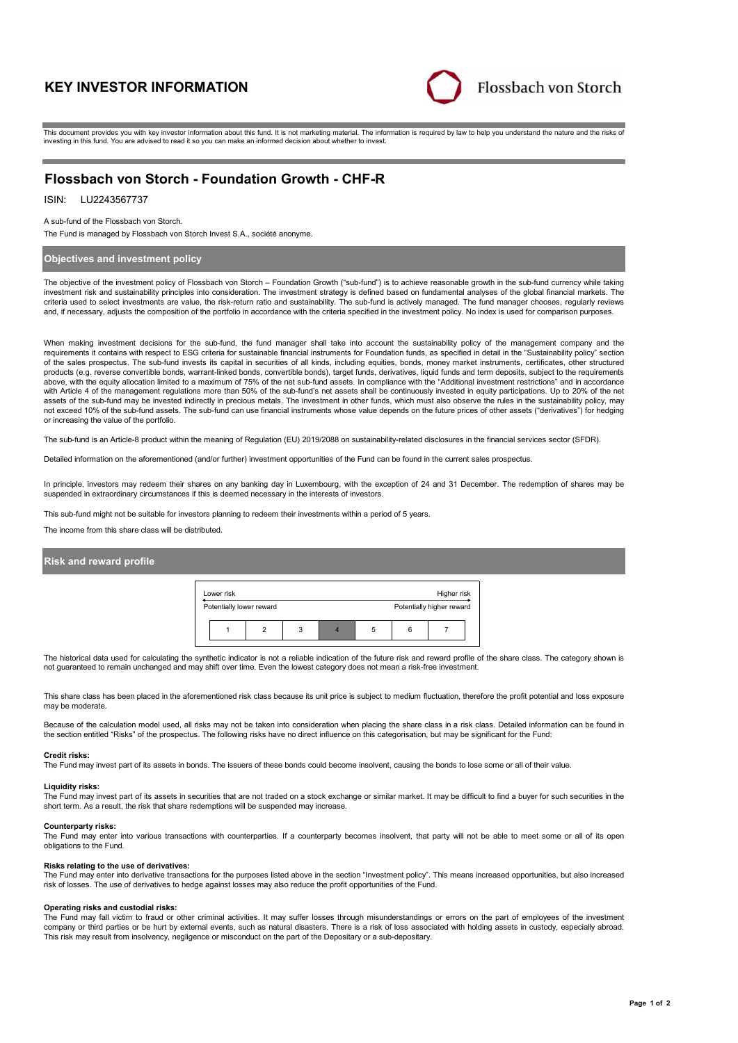# **KEY INVESTOR INFORMATION**



This document provides you with key investor information about this fund. It is not marketing material. The information is required by law to help you understand the nature and the risks of investing in this fund. You are advised to read it so you can make an informed decision about whether to invest.

# **Flossbach von Storch - Foundation Growth - CHF-R**

ISIN: LU2243567737

### A sub-fund of the Flossbach von Storch.

The Fund is managed by Flossbach von Storch Invest S.A., société anonyme.

## **Objectives and investment policy**

The objective of the investment policy of Flossbach von Storch – Foundation Growth ("sub-fund") is to achieve reasonable growth in the sub-fund currency while taking investment risk and sustainability principles into consideration. The investment strategy is defined based on fundamental analyses of the global financial markets. The criteria used to select investments are value, the risk-return ratio and sustainability. The sub-fund is actively managed. The fund manager chooses, regularly reviews and, if necessary, adjusts the composition of the portfolio in accordance with the criteria specified in the investment policy. No index is used for comparison purposes.

When making investment decisions for the sub-fund, the fund manager shall take into account the sustainability policy of the management company and the requirements it contains with respect to ESG criteria for sustainable financial instruments for Foundation funds, as specified in detail in the "Sustainability policy" section of the sales prospectus. The sub-fund invests its capital in securities of all kinds, including equities, bonds, money market instruments, certificates, other structured products (e.g. reverse convertible bonds, warrant-linked bonds, convertible bonds), target funds, derivatives, liquid funds and term deposits, subject to the requirements above, with the equity allocation limited to a maximum of 75% of the net sub-fund assets. In compliance with the "Additional investment restrictions" and in accordance with Article 4 of the management regulations more than 50% of the sub-fund's net assets shall be continuously invested in equity participations. Up to 20% of the net assets of the sub-fund may be invested indirectly in precious metals. The investment in other funds, which must also observe the rules in the sustainability policy, may not exceed 10% of the sub-fund assets. The sub-fund can use financial instruments whose value depends on the future prices of other assets ("derivatives") for hedging or increasing the value of the portfolio.

The sub-fund is an Article-8 product within the meaning of Regulation (EU) 2019/2088 on sustainability-related disclosures in the financial services sector (SFDR).

Detailed information on the aforementioned (and/or further) investment opportunities of the Fund can be found in the current sales prospectus.

In principle, investors may redeem their shares on any banking day in Luxembourg, with the exception of 24 and 31 December. The redemption of shares may be suspended in extraordinary circumstances if this is deemed necessary in the interests of investors.

This sub-fund might not be suitable for investors planning to redeem their investments within a period of 5 years.

The income from this share class will be distributed.

# **Risk and reward profile**

| Lower risk |                          |  |   |                           |   | Higher risk |  |  |
|------------|--------------------------|--|---|---------------------------|---|-------------|--|--|
|            | Potentially lower reward |  |   | Potentially higher reward |   |             |  |  |
|            |                          |  | 3 |                           | b |             |  |  |

The historical data used for calculating the synthetic indicator is not a reliable indication of the future risk and reward profile of the share class. The category shown is not guaranteed to remain unchanged and may shift over time. Even the lowest category does not mean a risk-free investment.

This share class has been placed in the aforementioned risk class because its unit price is subject to medium fluctuation, therefore the profit potential and loss exposure may be moderate.

Because of the calculation model used, all risks may not be taken into consideration when placing the share class in a risk class. Detailed information can be found in the section entitled "Risks" of the prospectus. The following risks have no direct influence on this categorisation, but may be significant for the Fund:

### **Credit risks:**

The Fund may invest part of its assets in bonds. The issuers of these bonds could become insolvent, causing the bonds to lose some or all of their value.

#### **Liquidity risks:**

The Fund may invest part of its assets in securities that are not traded on a stock exchange or similar market. It may be difficult to find a buyer for such securities in the short term. As a result, the risk that share redemptions will be suspended may increase.

#### **Counterparty risks:**

The Fund may enter into various transactions with counterparties. If a counterparty becomes insolvent, that party will not be able to meet some or all of its open obligations to the Fund.

### **Risks relating to the use of derivatives:**

The Fund may enter into derivative transactions for the purposes listed above in the section "Investment policy". This means increased opportunities, but also increased risk of losses. The use of derivatives to hedge against losses may also reduce the profit opportunities of the Fund.

#### **Operating risks and custodial risks:**

The Fund may fall victim to fraud or other criminal activities. It may suffer losses through misunderstandings or errors on the part of employees of the investment company or third parties or be hurt by external events, such as natural disasters. There is a risk of loss associated with holding assets in custody, especially abroad. This risk may result from insolvency, negligence or misconduct on the part of the Depositary or a sub-depositary.